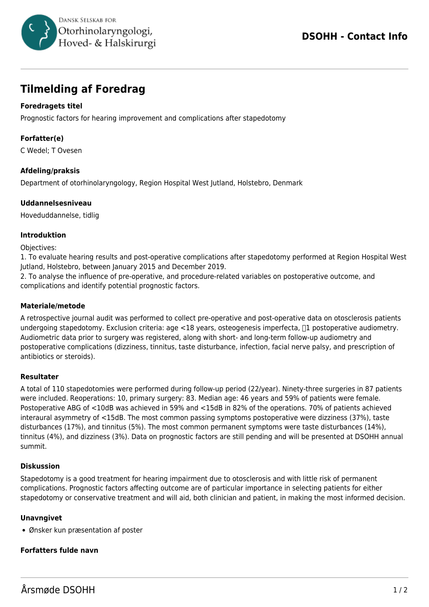

# **Tilmelding af Foredrag**

## **Foredragets titel**

Prognostic factors for hearing improvement and complications after stapedotomy

### **Forfatter(e)**

C Wedel; T Ovesen

#### **Afdeling/praksis**

Department of otorhinolaryngology, Region Hospital West Jutland, Holstebro, Denmark

#### **Uddannelsesniveau**

Hoveduddannelse, tidlig

#### **Introduktion**

Objectives:

1. To evaluate hearing results and post-operative complications after stapedotomy performed at Region Hospital West Jutland, Holstebro, between January 2015 and December 2019.

2. To analyse the influence of pre-operative, and procedure-related variables on postoperative outcome, and complications and identify potential prognostic factors.

#### **Materiale/metode**

A retrospective journal audit was performed to collect pre-operative and post-operative data on otosclerosis patients undergoing stapedotomy. Exclusion criteria:  $aq \leq 18$  years, osteogenesis imperfecta,  $\Box 1$  postoperative audiometry. Audiometric data prior to surgery was registered, along with short- and long-term follow-up audiometry and postoperative complications (dizziness, tinnitus, taste disturbance, infection, facial nerve palsy, and prescription of antibiotics or steroids).

#### **Resultater**

A total of 110 stapedotomies were performed during follow-up period (22/year). Ninety-three surgeries in 87 patients were included. Reoperations: 10, primary surgery: 83. Median age: 46 years and 59% of patients were female. Postoperative ABG of <10dB was achieved in 59% and <15dB in 82% of the operations. 70% of patients achieved interaural asymmetry of <15dB. The most common passing symptoms postoperative were dizziness (37%), taste disturbances (17%), and tinnitus (5%). The most common permanent symptoms were taste disturbances (14%), tinnitus (4%), and dizziness (3%). Data on prognostic factors are still pending and will be presented at DSOHH annual summit.

#### **Diskussion**

Stapedotomy is a good treatment for hearing impairment due to otosclerosis and with little risk of permanent complications. Prognostic factors affecting outcome are of particular importance in selecting patients for either stapedotomy or conservative treatment and will aid, both clinician and patient, in making the most informed decision.

#### **Unavngivet**

Ønsker kun præsentation af poster

#### **Forfatters fulde navn**